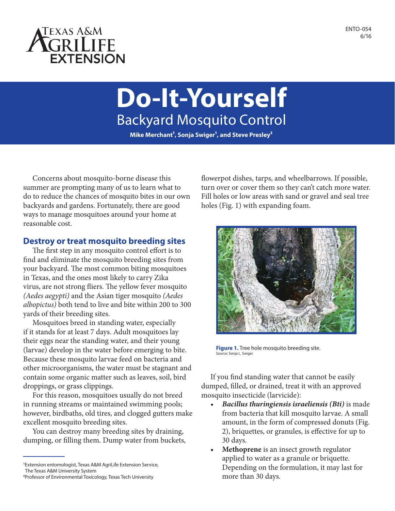

# **Do-It-Yourself** Backyard Mosquito Control

Mike Merchant<sup>1</sup>, Sonja Swiger<sup>1</sup>, and Steve Presley<sup>2</sup>

Concerns about mosquito-borne disease this summer are prompting many of us to learn what to do to reduce the chances of mosquito bites in our own backyards and gardens. Fortunately, there are good ways to manage mosquitoes around your home at reasonable cost.

### **Destroy or treat mosquito breeding sites**

The first step in any mosquito control effort is to find and eliminate the mosquito breeding sites from your backyard. The most common biting mosquitoes in Texas, and the ones most likely to carry Zika virus, are not strong fliers. The yellow fever mosquito *(Aedes aegypti)* and the Asian tiger mosquito *(Aedes albopictus)* both tend to live and bite within 200 to 300 yards of their breeding sites.

Mosquitoes breed in standing water, especially if it stands for at least 7 days. Adult mosquitoes lay their eggs near the standing water, and their young (larvae) develop in the water before emerging to bite. Because these mosquito larvae feed on bacteria and other microorganisms, the water must be stagnant and contain some organic matter such as leaves, soil, bird droppings, or grass clippings.

For this reason, mosquitoes usually do not breed in running streams or maintained swimming pools; however, birdbaths, old tires, and clogged gutters make excellent mosquito breeding sites.

You can destroy many breeding sites by draining, dumping, or filling them. Dump water from buckets,

**1** Extension entomologist, Texas A&M AgriLife Extension Service, The Texas A&M University System

flowerpot dishes, tarps, and wheelbarrows. If possible, turn over or cover them so they can't catch more water. Fill holes or low areas with sand or gravel and seal tree holes (Fig. 1) with expanding foam.



**Figure 1.** Tree hole mosquito breeding site. Source: Sonja L. Swiger

If you find standing water that cannot be easily dumped, filled, or drained, treat it with an approved mosquito insecticide (larvicide):

- *• Bacillus thuringiensis israeliensis (Bti)* is made from bacteria that kill mosquito larvae. A small amount, in the form of compressed donuts (Fig. 2), briquettes, or granules, is effective for up to 30 days.
- **• Methoprene** is an insect growth regulator applied to water as a granule or briquette. Depending on the formulation, it may last for more than 30 days.

**<sup>2</sup>** Professor of Environmental Toxicology, Texas Tech University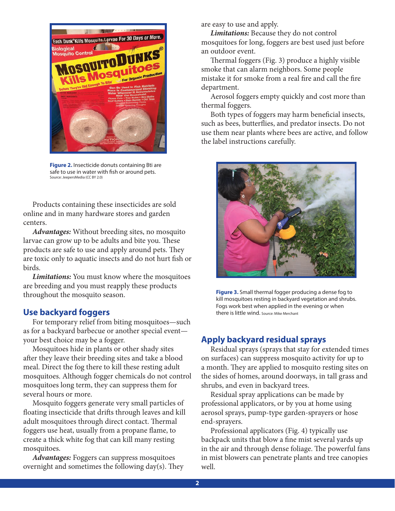

**Figure 2.** Insecticide donuts containing Bti are safe to use in water with fish or around pets. Source: JeepersMedia (CC BY 2.0)

Products containing these insecticides are sold online and in many hardware stores and garden centers.

*Advantages:* Without breeding sites, no mosquito larvae can grow up to be adults and bite you. These products are safe to use and apply around pets. They are toxic only to aquatic insects and do not hurt fish or birds.

*Limitations:* You must know where the mosquitoes are breeding and you must reapply these products throughout the mosquito season.

#### **Use backyard foggers**

For temporary relief from biting mosquitoes—such as for a backyard barbecue or another special event your best choice may be a fogger.

Mosquitoes hide in plants or other shady sites after they leave their breeding sites and take a blood meal. Direct the fog there to kill these resting adult mosquitoes. Although fogger chemicals do not control mosquitoes long term, they can suppress them for several hours or more.

Mosquito foggers generate very small particles of floating insecticide that drifts through leaves and kill adult mosquitoes through direct contact. Thermal foggers use heat, usually from a propane flame, to create a thick white fog that can kill many resting mosquitoes.

*Advantages:* Foggers can suppress mosquitoes overnight and sometimes the following day(s). They are easy to use and apply.

*Limitations:* Because they do not control mosquitoes for long, foggers are best used just before an outdoor event.

Thermal foggers (Fig. 3) produce a highly visible smoke that can alarm neighbors. Some people mistake it for smoke from a real fire and call the fire department.

Aerosol foggers empty quickly and cost more than thermal foggers.

Both types of foggers may harm beneficial insects, such as bees, butterflies, and predator insects. Do not use them near plants where bees are active, and follow the label instructions carefully.



**Figure 3.** Small thermal fogger producing a dense fog to kill mosquitoes resting in backyard vegetation and shrubs. Fogs work best when applied in the evening or when there is little wind. Source: Mike Merchant

## **Apply backyard residual sprays**

Residual sprays (sprays that stay for extended times on surfaces) can suppress mosquito activity for up to a month. They are applied to mosquito resting sites on the sides of homes, around doorways, in tall grass and shrubs, and even in backyard trees.

Residual spray applications can be made by professional applicators, or by you at home using aerosol sprays, pump-type garden-sprayers or hose end-sprayers.

Professional applicators (Fig. 4) typically use backpack units that blow a fine mist several yards up in the air and through dense foliage. The powerful fans in mist blowers can penetrate plants and tree canopies well.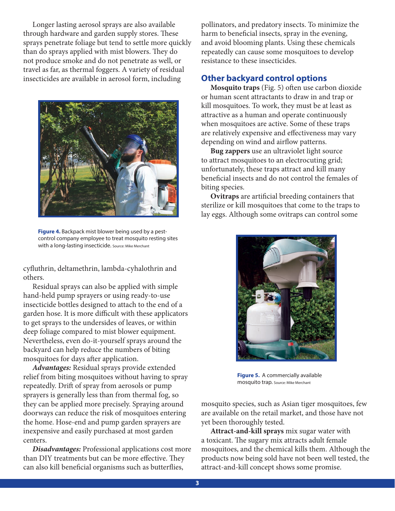Longer lasting aerosol sprays are also available through hardware and garden supply stores. These sprays penetrate foliage but tend to settle more quickly than do sprays applied with mist blowers. They do not produce smoke and do not penetrate as well, or travel as far, as thermal foggers. A variety of residual insecticides are available in aerosol form, including



**Figure 4.** Backpack mist blower being used by a pestcontrol company employee to treat mosquito resting sites with a long-lasting insecticide. Source: Mike Merchant

cyfluthrin, deltamethrin, lambda-cyhalothrin and others.

Residual sprays can also be applied with simple hand-held pump sprayers or using ready-to-use insecticide bottles designed to attach to the end of a garden hose. It is more difficult with these applicators to get sprays to the undersides of leaves, or within deep foliage compared to mist blower equipment. Nevertheless, even do-it-yourself sprays around the backyard can help reduce the numbers of biting mosquitoes for days after application.

*Advantages:* Residual sprays provide extended relief from biting mosquitoes without having to spray repeatedly. Drift of spray from aerosols or pump sprayers is generally less than from thermal fog, so they can be applied more precisely. Spraying around doorways can reduce the risk of mosquitoes entering the home. Hose-end and pump garden sprayers are inexpensive and easily purchased at most garden centers.

*Disadvantages:* Professional applications cost more than DIY treatments but can be more effective. They can also kill beneficial organisms such as butterflies,

pollinators, and predatory insects. To minimize the harm to beneficial insects, spray in the evening, and avoid blooming plants. Using these chemicals repeatedly can cause some mosquitoes to develop resistance to these insecticides.

### **Other backyard control options**

**Mosquito traps** (Fig. 5) often use carbon dioxide or human scent attractants to draw in and trap or kill mosquitoes. To work, they must be at least as attractive as a human and operate continuously when mosquitoes are active. Some of these traps are relatively expensive and effectiveness may vary depending on wind and airflow patterns.

**Bug zappers** use an ultraviolet light source to attract mosquitoes to an electrocuting grid; unfortunately, these traps attract and kill many beneficial insects and do not control the females of biting species.

**Ovitraps** are artificial breeding containers that sterilize or kill mosquitoes that come to the traps to lay eggs. Although some ovitraps can control some



**Figure 5.** A commercially available mosquito trap. Source: Mike Merchant

mosquito species, such as Asian tiger mosquitoes, few are available on the retail market, and those have not yet been thoroughly tested.

**Attract-and-kill sprays** mix sugar water with a toxicant. The sugary mix attracts adult female mosquitoes, and the chemical kills them. Although the products now being sold have not been well tested, the attract-and-kill concept shows some promise.